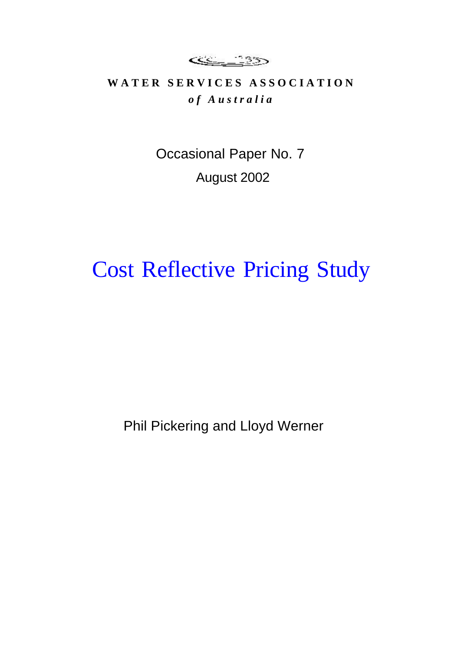<u>se 135</u>

## WATER SERVICES ASSOCIATION *o f A u s t r a l i a*

Occasional Paper No. 7 August 2002

# Cost Reflective Pricing Study

Phil Pickering and Lloyd Werner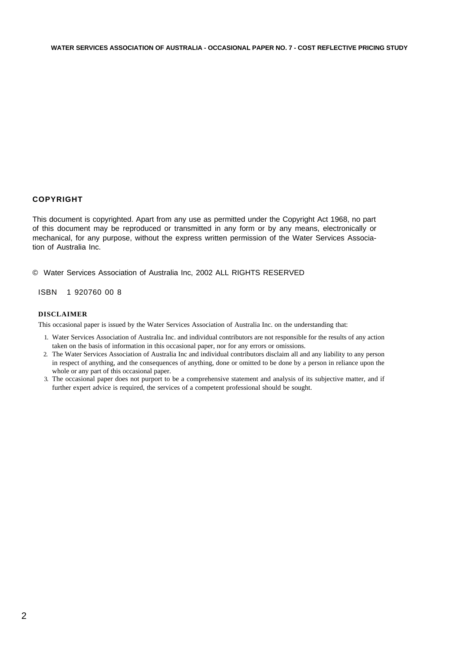### **COPYRIGHT**

This document is copyrighted. Apart from any use as permitted under the Copyright Act 1968, no part of this document may be reproduced or transmitted in any form or by any means, electronically or mechanical, for any purpose, without the express written permission of the Water Services Association of Australia Inc.

© Water Services Association of Australia Inc, 2002 ALL RIGHTS RESERVED

ISBN 1 920760 00 8

### **DISCLAIMER**

This occasional paper is issued by the Water Services Association of Australia Inc. on the understanding that:

- 1. Water Services Association of Australia Inc. and individual contributors are not responsible for the results of any action taken on the basis of information in this occasional paper, nor for any errors or omissions.
- 2. The Water Services Association of Australia Inc and individual contributors disclaim all and any liability to any person in respect of anything, and the consequences of anything, done or omitted to be done by a person in reliance upon the whole or any part of this occasional paper.
- 3. The occasional paper does not purport to be a comprehensive statement and analysis of its subjective matter, and if further expert advice is required, the services of a competent professional should be sought.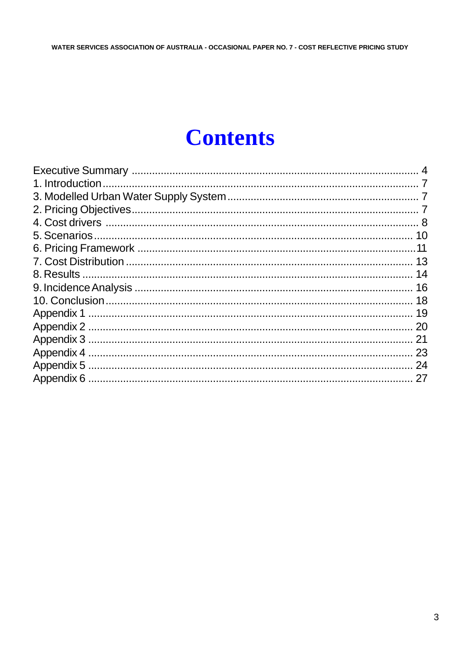# **Contents**

| 13 |
|----|
|    |
|    |
| 18 |
| 19 |
| 20 |
| 21 |
| 23 |
|    |
|    |
|    |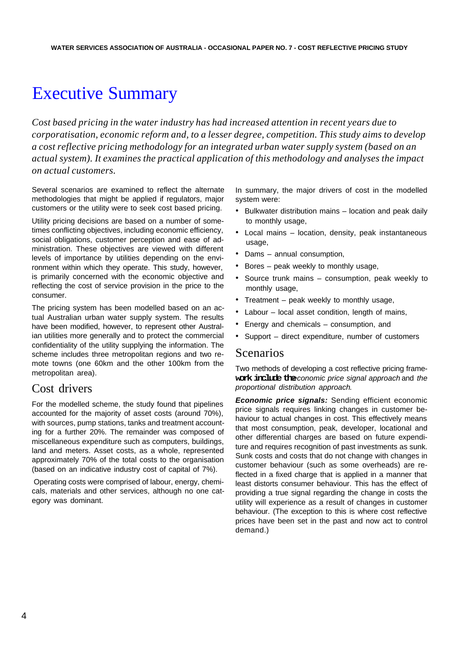## Executive Summary

*Cost based pricing in the water industry has had increased attention in recent years due to corporatisation, economic reform and, to a lesser degree, competition. This study aims to develop a cost reflective pricing methodology for an integrated urban water supply system (based on an actual system). It examines the practical application of this methodology and analyses the impact on actual customers.*

Several scenarios are examined to reflect the alternate methodologies that might be applied if regulators, major customers or the utility were to seek cost based pricing.

Utility pricing decisions are based on a number of sometimes conflicting objectives, including economic efficiency, social obligations, customer perception and ease of administration. These objectives are viewed with different levels of importance by utilities depending on the environment within which they operate. This study, however, is primarily concerned with the economic objective and reflecting the cost of service provision in the price to the consumer.

The pricing system has been modelled based on an actual Australian urban water supply system. The results have been modified, however, to represent other Australian utilities more generally and to protect the commercial confidentiality of the utility supplying the information. The scheme includes three metropolitan regions and two remote towns (one 60km and the other 100km from the metropolitan area).

## Cost drivers

For the modelled scheme, the study found that pipelines accounted for the majority of asset costs (around 70%), with sources, pump stations, tanks and treatment accounting for a further 20%. The remainder was composed of miscellaneous expenditure such as computers, buildings, land and meters. Asset costs, as a whole, represented approximately 70% of the total costs to the organisation (based on an indicative industry cost of capital of 7%).

 Operating costs were comprised of labour, energy, chemicals, materials and other services, although no one category was dominant.

In summary, the major drivers of cost in the modelled system were:

- Bulkwater distribution mains location and peak daily to monthly usage,
- Local mains location, density, peak instantaneous usage,
- Dams annual consumption,
- Bores peak weekly to monthly usage,
- Source trunk mains consumption, peak weekly to monthly usage,
- Treatment peak weekly to monthly usage,
- Labour local asset condition, length of mains,
- Energy and chemicals consumption, and
- Support direct expenditure, number of customers

## Scenarios

Two methods of developing a cost reflective pricing framework include the *conomic price signal approach* and *the proportional distribution approach*.

*Economic price signals:* Sending efficient economic price signals requires linking changes in customer behaviour to actual changes in cost. This effectively means that most consumption, peak, developer, locational and other differential charges are based on future expenditure and requires recognition of past investments as sunk. Sunk costs and costs that do not change with changes in customer behaviour (such as some overheads) are reflected in a fixed charge that is applied in a manner that least distorts consumer behaviour. This has the effect of providing a true signal regarding the change in costs the utility will experience as a result of changes in customer behaviour. (The exception to this is where cost reflective prices have been set in the past and now act to control demand.)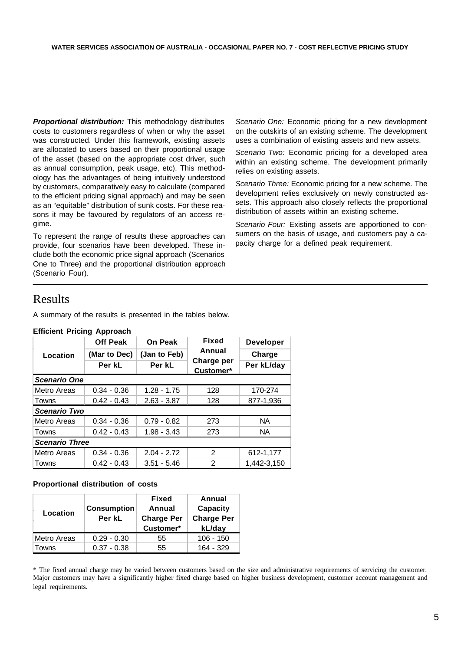*Proportional distribution:* This methodology distributes costs to customers regardless of when or why the asset was constructed. Under this framework, existing assets are allocated to users based on their proportional usage of the asset (based on the appropriate cost driver, such as annual consumption, peak usage, etc). This methodology has the advantages of being intuitively understood by customers, comparatively easy to calculate (compared to the efficient pricing signal approach) and may be seen as an "equitable" distribution of sunk costs. For these reasons it may be favoured by regulators of an access regime.

To represent the range of results these approaches can provide, four scenarios have been developed. These include both the economic price signal approach (Scenarios One to Three) and the proportional distribution approach (Scenario Four).

*Scenario One:* Economic pricing for a new development on the outskirts of an existing scheme. The development uses a combination of existing assets and new assets.

*Scenario Two:* Economic pricing for a developed area within an existing scheme. The development primarily relies on existing assets.

*Scenario Three:* Economic pricing for a new scheme. The development relies exclusively on newly constructed assets. This approach also closely reflects the proportional distribution of assets within an existing scheme.

*Scenario Four:* Existing assets are apportioned to consumers on the basis of usage, and customers pay a capacity charge for a defined peak requirement.

## Results

A summary of the results is presented in the tables below.

|                       | <b>Off Peak</b> | On Peak       | <b>Fixed</b>         | <b>Developer</b> |
|-----------------------|-----------------|---------------|----------------------|------------------|
| Location              | (Mar to Dec)    | (Jan to Feb)  | Annual<br>Charge per | Charge           |
|                       | Per kL          | Per kL        |                      | Per kL/day       |
| <b>Scenario One</b>   |                 |               |                      |                  |
| Metro Areas           | $0.34 - 0.36$   | $1.28 - 1.75$ | 128                  | 170-274          |
| Towns                 | $0.42 - 0.43$   | $2.63 - 3.87$ | 128                  | 877-1,936        |
| <b>Scenario Two</b>   |                 |               |                      |                  |
| Metro Areas           | $0.34 - 0.36$   | $0.79 - 0.82$ | 273                  | <b>NA</b>        |
| Towns                 | $0.42 - 0.43$   | $1.98 - 3.43$ | 273                  | <b>NA</b>        |
| <b>Scenario Three</b> |                 |               |                      |                  |
| Metro Areas           | $0.34 - 0.36$   | $2.04 - 2.72$ | 2                    | 612-1,177        |
| Towns                 | $0.42 - 0.43$   | $3.51 - 5.46$ | 2                    | 1,442-3,150      |

### **Efficient Pricing Approach**

### **Proportional distribution of costs**

| Location    | <b>Consumption</b><br>Per kL | <b>Fixed</b><br>Annual<br><b>Charge Per</b><br>Customer* | Annual<br>Capacity<br><b>Charge Per</b><br>kL/day |
|-------------|------------------------------|----------------------------------------------------------|---------------------------------------------------|
| Metro Areas | $0.29 - 0.30$                | 55                                                       | $106 - 150$                                       |
| Towns       | $0.37 - 0.38$                | 55                                                       | 164 - 329                                         |

\* The fixed annual charge may be varied between customers based on the size and administrative requirements of servicing the customer. Major customers may have a significantly higher fixed charge based on higher business development, customer account management and legal requirements.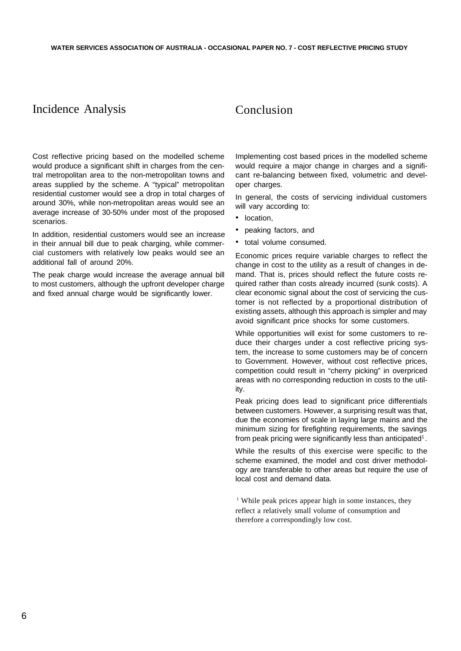## Incidence Analysis

## Conclusion

Cost reflective pricing based on the modelled scheme would produce a significant shift in charges from the central metropolitan area to the non-metropolitan towns and areas supplied by the scheme. A "typical" metropolitan residential customer would see a drop in total charges of around 30%, while non-metropolitan areas would see an average increase of 30-50% under most of the proposed scenarios.

In addition, residential customers would see an increase in their annual bill due to peak charging, while commercial customers with relatively low peaks would see an additional fall of around 20%.

The peak charge would increase the average annual bill to most customers, although the upfront developer charge and fixed annual charge would be significantly lower.

Implementing cost based prices in the modelled scheme would require a major change in charges and a significant re-balancing between fixed, volumetric and developer charges.

In general, the costs of servicing individual customers will vary according to:

- location,
- peaking factors, and
- total volume consumed.

Economic prices require variable charges to reflect the change in cost to the utility as a result of changes in demand. That is, prices should reflect the future costs required rather than costs already incurred (sunk costs). A clear economic signal about the cost of servicing the customer is not reflected by a proportional distribution of existing assets, although this approach is simpler and may avoid significant price shocks for some customers.

While opportunities will exist for some customers to reduce their charges under a cost reflective pricing system, the increase to some customers may be of concern to Government. However, without cost reflective prices, competition could result in "cherry picking" in overpriced areas with no corresponding reduction in costs to the utility.

Peak pricing does lead to significant price differentials between customers. However, a surprising result was that, due the economies of scale in laying large mains and the minimum sizing for firefighting requirements, the savings from peak pricing were significantly less than anticipated<sup>1</sup>.

While the results of this exercise were specific to the scheme examined, the model and cost driver methodology are transferable to other areas but require the use of local cost and demand data.

<sup>1</sup> While peak prices appear high in some instances, they reflect a relatively small volume of consumption and therefore a correspondingly low cost.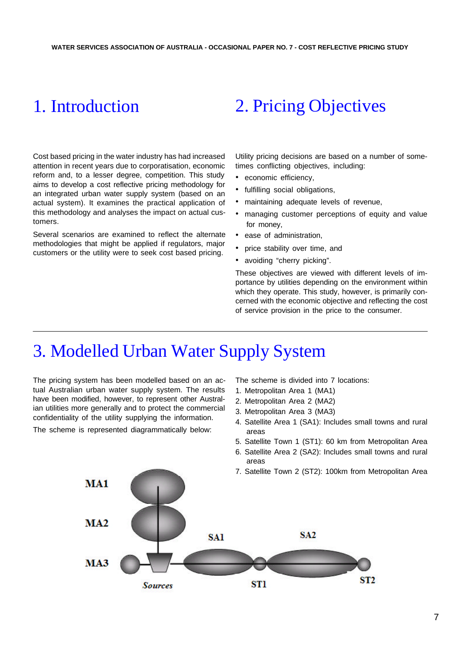## 1. Introduction

Cost based pricing in the water industry has had increased attention in recent years due to corporatisation, economic reform and, to a lesser degree, competition. This study aims to develop a cost reflective pricing methodology for an integrated urban water supply system (based on an actual system). It examines the practical application of this methodology and analyses the impact on actual customers.

Several scenarios are examined to reflect the alternate methodologies that might be applied if regulators, major customers or the utility were to seek cost based pricing.

# 2. Pricing Objectives

Utility pricing decisions are based on a number of sometimes conflicting objectives, including:

- economic efficiency,
- fulfilling social obligations,
- maintaining adequate levels of revenue,
- managing customer perceptions of equity and value for money,
- ease of administration,
- price stability over time, and
- avoiding "cherry picking".

These objectives are viewed with different levels of importance by utilities depending on the environment within which they operate. This study, however, is primarily concerned with the economic objective and reflecting the cost of service provision in the price to the consumer.

## 3. Modelled Urban Water Supply System

The pricing system has been modelled based on an actual Australian urban water supply system. The results have been modified, however, to represent other Australian utilities more generally and to protect the commercial confidentiality of the utility supplying the information.

The scheme is represented diagrammatically below:

The scheme is divided into 7 locations:

- 1. Metropolitan Area 1 (MA1)
- 2. Metropolitan Area 2 (MA2)
- 3. Metropolitan Area 3 (MA3)
- 4. Satellite Area 1 (SA1): Includes small towns and rural areas
- 5. Satellite Town 1 (ST1): 60 km from Metropolitan Area
- 6. Satellite Area 2 (SA2): Includes small towns and rural areas
- 7. Satellite Town 2 (ST2): 100km from Metropolitan Area

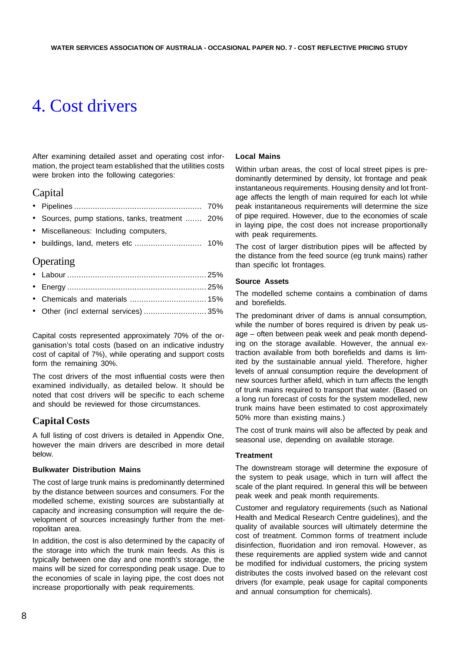# 4. Cost drivers

After examining detailed asset and operating cost information, the project team established that the utilities costs were broken into the following categories:

## Capital

|--|--|--|

- Sources, pump stations, tanks, treatment ....... 20%
- Miscellaneous: Including computers,
- buildings, land, meters etc ............................. 10%

## Operating

| • Chemicals and materials  15%        |  |
|---------------------------------------|--|
| • Other (incl external services)  35% |  |

Capital costs represented approximately 70% of the organisation's total costs (based on an indicative industry cost of capital of 7%), while operating and support costs form the remaining 30%.

The cost drivers of the most influential costs were then examined individually, as detailed below. It should be noted that cost drivers will be specific to each scheme and should be reviewed for those circumstances.

## **Capital Costs**

A full listing of cost drivers is detailed in Appendix One, however the main drivers are described in more detail below.

### **Bulkwater Distribution Mains**

The cost of large trunk mains is predominantly determined by the distance between sources and consumers. For the modelled scheme, existing sources are substantially at capacity and increasing consumption will require the development of sources increasingly further from the metropolitan area.

In addition, the cost is also determined by the capacity of the storage into which the trunk main feeds. As this is typically between one day and one month's storage, the mains will be sized for corresponding peak usage. Due to the economies of scale in laying pipe, the cost does not increase proportionally with peak requirements.

### **Local Mains**

Within urban areas, the cost of local street pipes is predominantly determined by density, lot frontage and peak instantaneous requirements. Housing density and lot frontage affects the length of main required for each lot while peak instantaneous requirements will determine the size of pipe required. However, due to the economies of scale in laying pipe, the cost does not increase proportionally with peak requirements.

The cost of larger distribution pipes will be affected by the distance from the feed source (eg trunk mains) rather than specific lot frontages.

#### **Source Assets**

The modelled scheme contains a combination of dams and borefields.

The predominant driver of dams is annual consumption, while the number of bores required is driven by peak usage – often between peak week and peak month depending on the storage available. However, the annual extraction available from both borefields and dams is limited by the sustainable annual yield. Therefore, higher levels of annual consumption require the development of new sources further afield, which in turn affects the length of trunk mains required to transport that water. (Based on a long run forecast of costs for the system modelled, new trunk mains have been estimated to cost approximately 50% more than existing mains.)

The cost of trunk mains will also be affected by peak and seasonal use, depending on available storage.

#### **Treatment**

The downstream storage will determine the exposure of the system to peak usage, which in turn will affect the scale of the plant required. In general this will be between peak week and peak month requirements.

Customer and regulatory requirements (such as National Health and Medical Research Centre guidelines), and the quality of available sources will ultimately determine the cost of treatment. Common forms of treatment include disinfection, fluoridation and iron removal. However, as these requirements are applied system wide and cannot be modified for individual customers, the pricing system distributes the costs involved based on the relevant cost drivers (for example, peak usage for capital components and annual consumption for chemicals).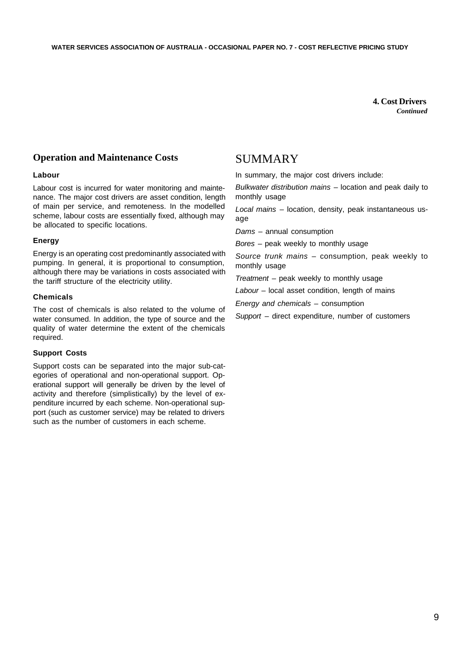**4. Cost Drivers** *Continued*

## **Operation and Maintenance Costs**

#### **Labour**

Labour cost is incurred for water monitoring and maintenance. The major cost drivers are asset condition, length of main per service, and remoteness. In the modelled scheme, labour costs are essentially fixed, although may be allocated to specific locations.

### **Energy**

Energy is an operating cost predominantly associated with pumping. In general, it is proportional to consumption, although there may be variations in costs associated with the tariff structure of the electricity utility.

#### **Chemicals**

The cost of chemicals is also related to the volume of water consumed. In addition, the type of source and the quality of water determine the extent of the chemicals required.

### **Support Costs**

Support costs can be separated into the major sub-categories of operational and non-operational support. Operational support will generally be driven by the level of activity and therefore (simplistically) by the level of expenditure incurred by each scheme. Non-operational support (such as customer service) may be related to drivers such as the number of customers in each scheme.

## **SUMMARY**

In summary, the major cost drivers include:

*Bulkwater distribution mains* – location and peak daily to monthly usage

*Local mains* – location, density, peak instantaneous usage

*Dams* – annual consumption

*Bores* – peak weekly to monthly usage

*Source trunk mains* – consumption, peak weekly to monthly usage

*Treatment* – peak weekly to monthly usage

*Labour* – local asset condition, length of mains

*Energy and chemicals* – consumption

*Support* – direct expenditure, number of customers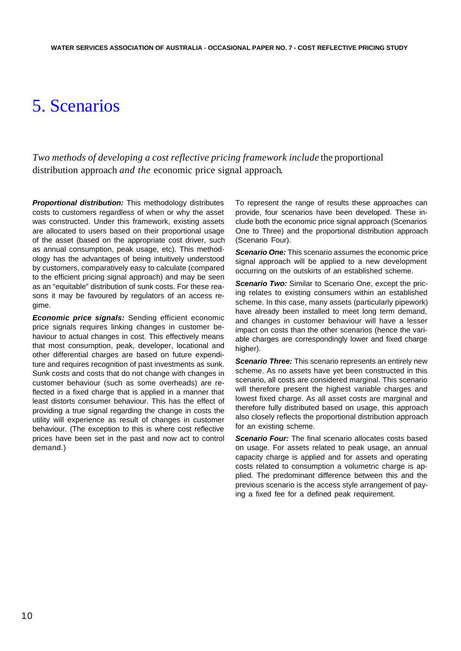## 5. Scenarios

*Two methods of developing a cost reflective pricing framework include the proportional* distribution approach *and the* economic price signal approach*.*

**Proportional distribution:** This methodology distributes costs to customers regardless of when or why the asset was constructed. Under this framework, existing assets are allocated to users based on their proportional usage of the asset (based on the appropriate cost driver, such as annual consumption, peak usage, etc). This methodology has the advantages of being intuitively understood by customers, comparatively easy to calculate (compared to the efficient pricing signal approach) and may be seen as an "equitable" distribution of sunk costs. For these reasons it may be favoured by regulators of an access regime.

*Economic price signals:* Sending efficient economic price signals requires linking changes in customer behaviour to actual changes in cost. This effectively means that most consumption, peak, developer, locational and other differential charges are based on future expenditure and requires recognition of past investments as sunk. Sunk costs and costs that do not change with changes in customer behaviour (such as some overheads) are reflected in a fixed charge that is applied in a manner that least distorts consumer behaviour. This has the effect of providing a true signal regarding the change in costs the utility will experience as result of changes in customer behaviour. (The exception to this is where cost reflective prices have been set in the past and now act to control demand.)

To represent the range of results these approaches can provide, four scenarios have been developed. These include both the economic price signal approach (Scenarios One to Three) and the proportional distribution approach (Scenario Four).

**Scenario One:** This scenario assumes the economic price signal approach will be applied to a new development occurring on the outskirts of an established scheme.

**Scenario Two:** Similar to Scenario One, except the pricing relates to existing consumers within an established scheme. In this case, many assets (particularly pipework) have already been installed to meet long term demand, and changes in customer behaviour will have a lesser impact on costs than the other scenarios (hence the variable charges are correspondingly lower and fixed charge higher).

**Scenario Three:** This scenario represents an entirely new scheme. As no assets have yet been constructed in this scenario, all costs are considered marginal. This scenario will therefore present the highest variable charges and lowest fixed charge. As all asset costs are marginal and therefore fully distributed based on usage, this approach also closely reflects the proportional distribution approach for an existing scheme.

**Scenario Four:** The final scenario allocates costs based on usage. For assets related to peak usage, an annual capacity charge is applied and for assets and operating costs related to consumption a volumetric charge is applied. The predominant difference between this and the previous scenario is the access style arrangement of paying a fixed fee for a defined peak requirement.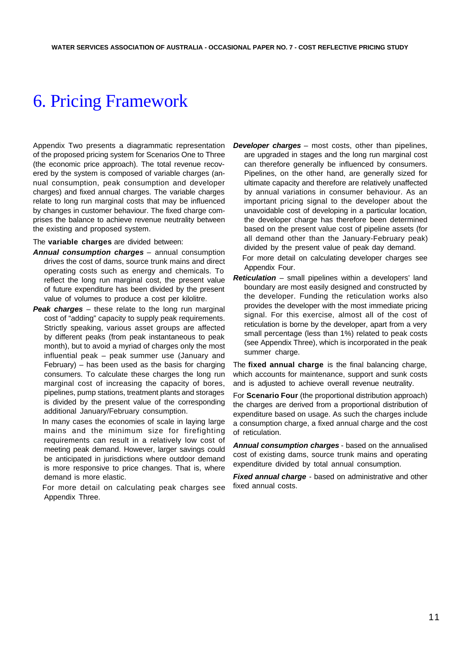# 6. Pricing Framework

Appendix Two presents a diagrammatic representation of the proposed pricing system for Scenarios One to Three (the economic price approach). The total revenue recovered by the system is composed of variable charges (annual consumption, peak consumption and developer charges) and fixed annual charges. The variable charges relate to long run marginal costs that may be influenced by changes in customer behaviour. The fixed charge comprises the balance to achieve revenue neutrality between the existing and proposed system.

The **variable charges** are divided between:

- *Annual consumption charges* annual consumption drives the cost of dams, source trunk mains and direct operating costs such as energy and chemicals. To reflect the long run marginal cost, the present value of future expenditure has been divided by the present value of volumes to produce a cost per kilolitre.
- *Peak charges* these relate to the long run marginal cost of "adding" capacity to supply peak requirements. Strictly speaking, various asset groups are affected by different peaks (from peak instantaneous to peak month), but to avoid a myriad of charges only the most influential peak – peak summer use (January and February) – has been used as the basis for charging consumers. To calculate these charges the long run marginal cost of increasing the capacity of bores, pipelines, pump stations, treatment plants and storages is divided by the present value of the corresponding additional January/February consumption.

In many cases the economies of scale in laying large mains and the minimum size for firefighting requirements can result in a relatively low cost of meeting peak demand. However, larger savings could be anticipated in jurisdictions where outdoor demand is more responsive to price changes. That is, where demand is more elastic.

For more detail on calculating peak charges see Appendix Three.

*Developer charges* – most costs, other than pipelines, are upgraded in stages and the long run marginal cost can therefore generally be influenced by consumers. Pipelines, on the other hand, are generally sized for ultimate capacity and therefore are relatively unaffected by annual variations in consumer behaviour. As an important pricing signal to the developer about the unavoidable cost of developing in a particular location, the developer charge has therefore been determined based on the present value cost of pipeline assets (for all demand other than the January-February peak) divided by the present value of peak day demand.

For more detail on calculating developer charges see Appendix Four.

*Reticulation* – small pipelines within a developers' land boundary are most easily designed and constructed by the developer. Funding the reticulation works also provides the developer with the most immediate pricing signal. For this exercise, almost all of the cost of reticulation is borne by the developer, apart from a very small percentage (less than 1%) related to peak costs (see Appendix Three), which is incorporated in the peak summer charge.

The **fixed annual charge** is the final balancing charge, which accounts for maintenance, support and sunk costs and is adjusted to achieve overall revenue neutrality.

For **Scenario Four** (the proportional distribution approach) the charges are derived from a proportional distribution of expenditure based on usage. As such the charges include a consumption charge, a fixed annual charge and the cost of reticulation.

*Annual consumption charges* - based on the annualised cost of existing dams, source trunk mains and operating expenditure divided by total annual consumption.

*Fixed annual charge* - based on administrative and other fixed annual costs.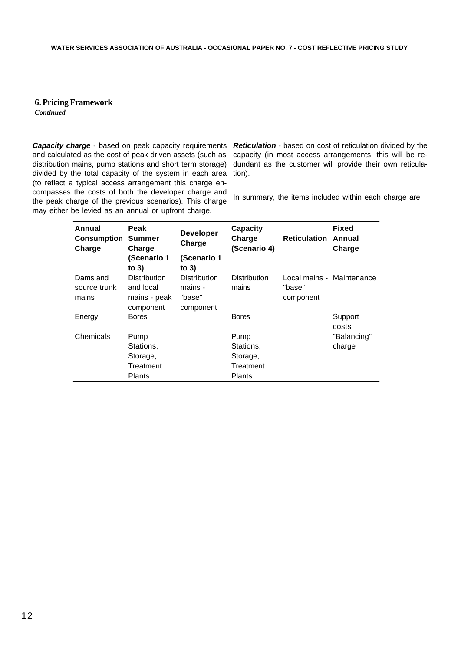### **6. Pricing Framework**

*Continued*

**Capacity charge** - based on peak capacity requirements Reticulation - based on cost of reticulation divided by the and calculated as the cost of peak driven assets (such as distribution mains, pump stations and short term storage) divided by the total capacity of the system in each area (to reflect a typical access arrangement this charge encompasses the costs of both the developer charge and the peak charge of the previous scenarios). This charge may either be levied as an annual or upfront charge.

capacity (in most access arrangements, this will be redundant as the customer will provide their own reticulation).

In summary, the items included within each charge are:

| Annual<br>Consumption<br>Charge   | Peak<br><b>Summer</b><br>Charge                               | <b>Developer</b><br>Charge                            | Capacity<br>Charge<br>(Scenario 4) | <b>Reticulation</b> | Fixed<br>Annual<br>Charge |
|-----------------------------------|---------------------------------------------------------------|-------------------------------------------------------|------------------------------------|---------------------|---------------------------|
|                                   | (Scenario 1<br>to $3)$                                        | (Scenario 1<br>to $3)$                                |                                    |                     |                           |
| Dams and<br>source trunk<br>mains | <b>Distribution</b><br>and local<br>mains - peak<br>component | <b>Distribution</b><br>mains -<br>"base"<br>component | <b>Distribution</b><br>mains       | "base"<br>component | Local mains - Maintenance |
| Energy                            | <b>Bores</b>                                                  |                                                       | <b>Bores</b>                       |                     | Support<br>costs          |
| Chemicals                         | Pump<br>Stations,<br>Storage,                                 |                                                       | Pump<br>Stations.<br>Storage,      |                     | "Balancing"<br>charge     |
|                                   | Treatment<br>Plants                                           |                                                       | Treatment<br><b>Plants</b>         |                     |                           |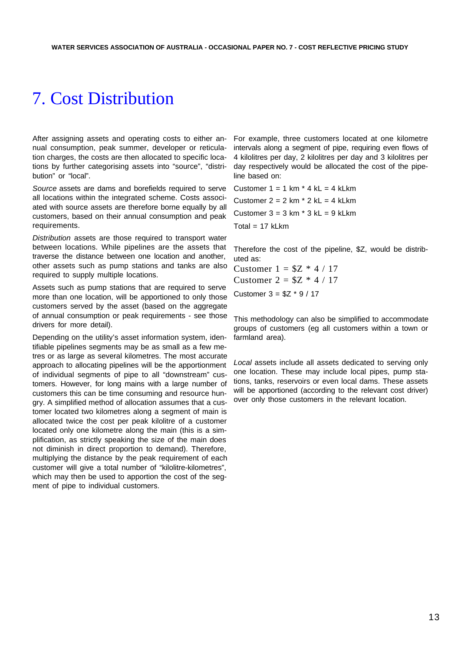# 7. Cost Distribution

After assigning assets and operating costs to either annual consumption, peak summer, developer or reticulation charges, the costs are then allocated to specific locations by further categorising assets into "source", "distribution" or "local".

*Source* assets are dams and borefields required to serve all locations within the integrated scheme. Costs associated with source assets are therefore borne equally by all customers, based on their annual consumption and peak requirements.

*Distribution* assets are those required to transport water between locations. While pipelines are the assets that traverse the distance between one location and another, other assets such as pump stations and tanks are also required to supply multiple locations.

Assets such as pump stations that are required to serve more than one location, will be apportioned to only those customers served by the asset (based on the aggregate of annual consumption or peak requirements - see those drivers for more detail).

Depending on the utility's asset information system, identifiable pipelines segments may be as small as a few metres or as large as several kilometres. The most accurate approach to allocating pipelines will be the apportionment of individual segments of pipe to all "downstream" customers. However, for long mains with a large number of customers this can be time consuming and resource hungry. A simplified method of allocation assumes that a customer located two kilometres along a segment of main is allocated twice the cost per peak kilolitre of a customer located only one kilometre along the main (this is a simplification, as strictly speaking the size of the main does not diminish in direct proportion to demand). Therefore, multiplying the distance by the peak requirement of each customer will give a total number of "kilolitre-kilometres", which may then be used to apportion the cost of the segment of pipe to individual customers.

For example, three customers located at one kilometre intervals along a segment of pipe, requiring even flows of 4 kilolitres per day, 2 kilolitres per day and 3 kilolitres per day respectively would be allocated the cost of the pipeline based on:

Customer  $1 = 1$  km  $*$  4 kL = 4 kLkm Customer  $2 = 2$  km  $*$  2 kL = 4 kLkm Customer  $3 = 3$  km  $*$  3 kL = 9 kLkm  $Total = 17$  kLkm

Therefore the cost of the pipeline, \$Z, would be distributed as:

Customer  $1 = $Z * 4 / 17$ Customer  $2 = $Z * 4 / 17$ Customer  $3 = $Z * 9 / 17$ 

This methodology can also be simplified to accommodate groups of customers (eg all customers within a town or farmland area).

*Local* assets include all assets dedicated to serving only one location. These may include local pipes, pump stations, tanks, reservoirs or even local dams. These assets will be apportioned (according to the relevant cost driver) over only those customers in the relevant location.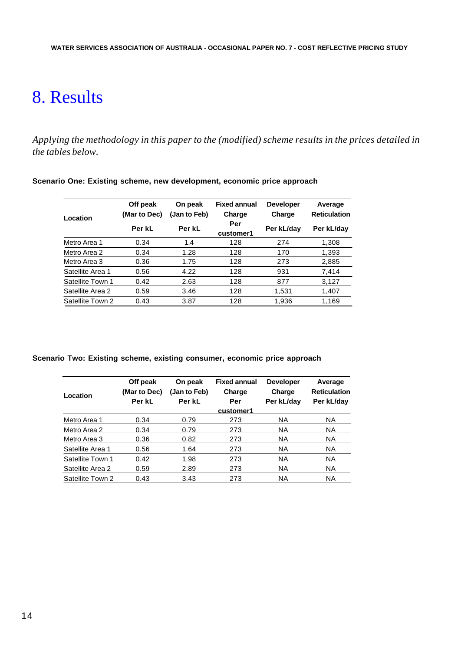# 8. Results

*Applying the methodology in this paper to the (modified) scheme results in the prices detailed in the tables below.*

| Location         | Off peak<br>(Mar to Dec) | On peak<br>(Jan to Feb) | <b>Fixed annual</b><br>Charge | <b>Developer</b><br>Charge | Average<br><b>Reticulation</b> |
|------------------|--------------------------|-------------------------|-------------------------------|----------------------------|--------------------------------|
|                  | Per kL                   | Per kL                  | Per<br>customer1              | Per kL/day                 | Per kL/day                     |
| Metro Area 1     | 0.34                     | 1.4                     | 128                           | 274                        | 1,308                          |
| Metro Area 2     | 0.34                     | 1.28                    | 128                           | 170                        | 1,393                          |
| Metro Area 3     | 0.36                     | 1.75                    | 128                           | 273                        | 2,885                          |
| Satellite Area 1 | 0.56                     | 4.22                    | 128                           | 931                        | 7,414                          |
| Satellite Town 1 | 0.42                     | 2.63                    | 128                           | 877                        | 3,127                          |
| Satellite Area 2 | 0.59                     | 3.46                    | 128                           | 1,531                      | 1,407                          |
| Satellite Town 2 | 0.43                     | 3.87                    | 128                           | 1,936                      | 1,169                          |

**Scenario One: Existing scheme, new development, economic price approach**

### **Scenario Two: Existing scheme, existing consumer, economic price approach**

| Location         | Off peak<br>(Mar to Dec)<br>Per kL | On peak<br>(Jan to Feb)<br>Per kL | <b>Fixed annual</b><br>Charge<br>Per | <b>Developer</b><br>Charge | Average<br><b>Reticulation</b> |
|------------------|------------------------------------|-----------------------------------|--------------------------------------|----------------------------|--------------------------------|
|                  |                                    |                                   | customer1                            | Per kL/day                 | Per kL/day                     |
| Metro Area 1     | 0.34                               | 0.79                              | 273                                  | NA.                        | NA.                            |
| Metro Area 2     | 0.34                               | 0.79                              | 273                                  | ΝA                         | NA.                            |
| Metro Area 3     | 0.36                               | 0.82                              | 273                                  | NA.                        | NA.                            |
| Satellite Area 1 | 0.56                               | 1.64                              | 273                                  | NA.                        | NA.                            |
| Satellite Town 1 | 0.42                               | 1.98                              | 273                                  | <b>NA</b>                  | NA.                            |
| Satellite Area 2 | 0.59                               | 2.89                              | 273                                  | <b>NA</b>                  | NA.                            |
| Satellite Town 2 | 0.43                               | 3.43                              | 273                                  | <b>NA</b>                  | <b>NA</b>                      |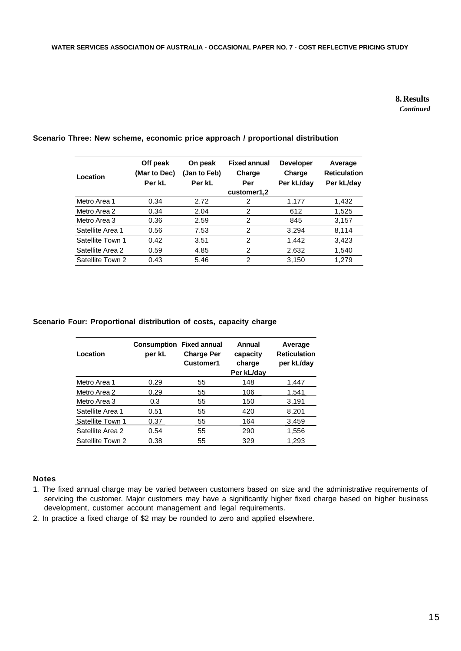## **8. Results** *Continued*

| Location         | Off peak<br>(Mar to Dec)<br>Per kL | On peak<br>(Jan to Feb)<br>Per kL | <b>Fixed annual</b><br>Charge<br>Per | <b>Developer</b><br>Charge<br>Per kL/day | Average<br><b>Reticulation</b><br>Per kL/day |
|------------------|------------------------------------|-----------------------------------|--------------------------------------|------------------------------------------|----------------------------------------------|
|                  |                                    |                                   | customer1,2                          |                                          |                                              |
| Metro Area 1     | 0.34                               | 2.72                              | 2                                    | 1,177                                    | 1,432                                        |
| Metro Area 2     | 0.34                               | 2.04                              | 2                                    | 612                                      | 1,525                                        |
| Metro Area 3     | 0.36                               | 2.59                              | 2                                    | 845                                      | 3,157                                        |
| Satellite Area 1 | 0.56                               | 7.53                              | 2                                    | 3,294                                    | 8,114                                        |
| Satellite Town 1 | 0.42                               | 3.51                              | 2                                    | 1,442                                    | 3,423                                        |
| Satellite Area 2 | 0.59                               | 4.85                              | 2                                    | 2,632                                    | 1,540                                        |
| Satellite Town 2 | 0.43                               | 5.46                              | 2                                    | 3.150                                    | 1.279                                        |

## **Scenario Three: New scheme, economic price approach / proportional distribution**

### **Scenario Four: Proportional distribution of costs, capacity charge**

| Location         | Consumption<br>per kL | <b>Fixed annual</b><br><b>Charge Per</b><br>Customer1 | Annual<br>capacity<br>charge<br>Per kL/day | Average<br><b>Reticulation</b><br>per kL/day |
|------------------|-----------------------|-------------------------------------------------------|--------------------------------------------|----------------------------------------------|
| Metro Area 1     | 0.29                  | 55                                                    | 148                                        | 1,447                                        |
| Metro Area 2     | 0.29                  | 55                                                    | 106                                        | 1.541                                        |
| Metro Area 3     | 0.3                   | 55                                                    | 150                                        | 3,191                                        |
| Satellite Area 1 | 0.51                  | 55                                                    | 420                                        | 8,201                                        |
| Satellite Town 1 | 0.37                  | 55                                                    | 164                                        | 3,459                                        |
| Satellite Area 2 | 0.54                  | 55                                                    | 290                                        | 1,556                                        |
| Satellite Town 2 | 0.38                  | 55                                                    | 329                                        | 1,293                                        |

## **Notes**

- 1. The fixed annual charge may be varied between customers based on size and the administrative requirements of servicing the customer. Major customers may have a significantly higher fixed charge based on higher business development, customer account management and legal requirements.
- 2. In practice a fixed charge of \$2 may be rounded to zero and applied elsewhere.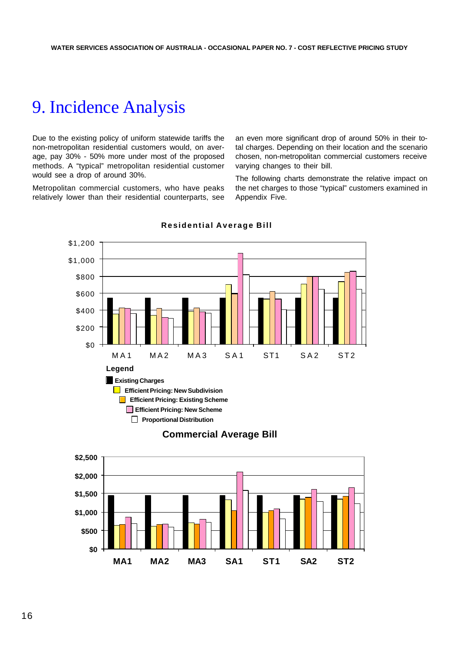## 9. Incidence Analysis

Due to the existing policy of uniform statewide tariffs the non-metropolitan residential customers would, on average, pay 30% - 50% more under most of the proposed methods. A "typical" metropolitan residential customer would see a drop of around 30%.

Metropolitan commercial customers, who have peaks relatively lower than their residential counterparts, see an even more significant drop of around 50% in their total charges. Depending on their location and the scenario chosen, non-metropolitan commercial customers receive varying changes to their bill.

The following charts demonstrate the relative impact on the net charges to those "typical" customers examined in Appendix Five.



#### **Residential Average Bill**

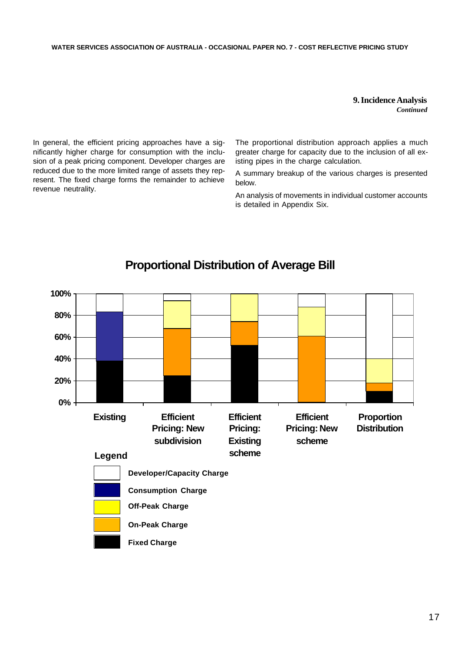## **9. Incidence Analysis** *Continued*

In general, the efficient pricing approaches have a significantly higher charge for consumption with the inclusion of a peak pricing component. Developer charges are reduced due to the more limited range of assets they represent. The fixed charge forms the remainder to achieve revenue neutrality.

The proportional distribution approach applies a much greater charge for capacity due to the inclusion of all existing pipes in the charge calculation.

A summary breakup of the various charges is presented below.

An analysis of movements in individual customer accounts is detailed in Appendix Six.



## **Proportional Distribution of Average Bill**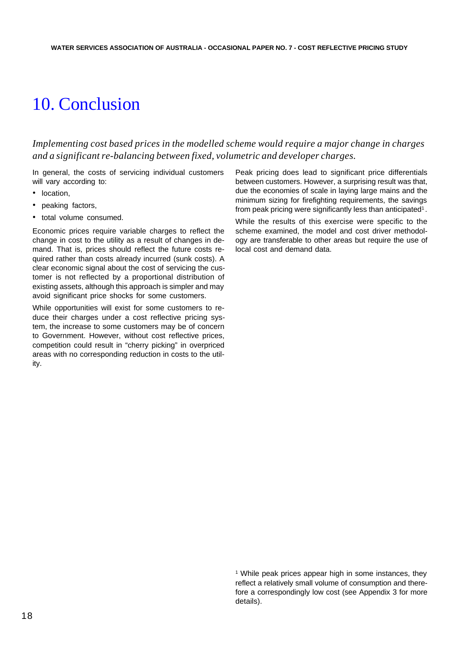# 10. Conclusion

*Implementing cost based prices in the modelled scheme would require a major change in charges and a significant re-balancing between fixed, volumetric and developer charges.*

In general, the costs of servicing individual customers will vary according to:

- location.
- peaking factors,
- total volume consumed.

Economic prices require variable charges to reflect the change in cost to the utility as a result of changes in demand. That is, prices should reflect the future costs required rather than costs already incurred (sunk costs). A clear economic signal about the cost of servicing the customer is not reflected by a proportional distribution of existing assets, although this approach is simpler and may avoid significant price shocks for some customers.

While opportunities will exist for some customers to reduce their charges under a cost reflective pricing system, the increase to some customers may be of concern to Government. However, without cost reflective prices, competition could result in "cherry picking" in overpriced areas with no corresponding reduction in costs to the utility.

Peak pricing does lead to significant price differentials between customers. However, a surprising result was that, due the economies of scale in laying large mains and the minimum sizing for firefighting requirements, the savings from peak pricing were significantly less than anticipated<sup>1</sup>.

While the results of this exercise were specific to the scheme examined, the model and cost driver methodology are transferable to other areas but require the use of local cost and demand data.

<sup>1</sup> While peak prices appear high in some instances, they reflect a relatively small volume of consumption and therefore a correspondingly low cost (see Appendix 3 for more details).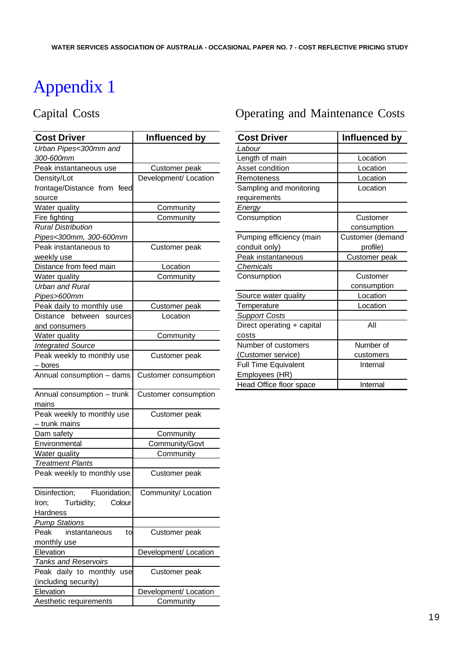## Capital Costs

| Urban Pipes<300mm and<br>300-600mm<br>Peak instantaneous use<br>Customer peak<br>Development/ Location<br>Density/Lot<br>frontage/Distance from feed<br>source<br>Water quality<br>Community<br>Fire fighting<br>Community<br><b>Rural Distribution</b><br>Pipes<300mm, 300-600mm<br>Peak instantaneous to<br>Customer peak<br>weekly use<br>Distance from feed main<br>Location<br>Water quality<br>Community<br><b>Urban and Rural</b><br>Pipes>600mm<br>Peak daily to monthly use<br>Customer peak<br>Location<br>Distance between sources<br>and consumers<br>Water quality<br>Community<br><b>Integrated Source</b> |
|--------------------------------------------------------------------------------------------------------------------------------------------------------------------------------------------------------------------------------------------------------------------------------------------------------------------------------------------------------------------------------------------------------------------------------------------------------------------------------------------------------------------------------------------------------------------------------------------------------------------------|
|                                                                                                                                                                                                                                                                                                                                                                                                                                                                                                                                                                                                                          |
|                                                                                                                                                                                                                                                                                                                                                                                                                                                                                                                                                                                                                          |
|                                                                                                                                                                                                                                                                                                                                                                                                                                                                                                                                                                                                                          |
|                                                                                                                                                                                                                                                                                                                                                                                                                                                                                                                                                                                                                          |
|                                                                                                                                                                                                                                                                                                                                                                                                                                                                                                                                                                                                                          |
|                                                                                                                                                                                                                                                                                                                                                                                                                                                                                                                                                                                                                          |
|                                                                                                                                                                                                                                                                                                                                                                                                                                                                                                                                                                                                                          |
|                                                                                                                                                                                                                                                                                                                                                                                                                                                                                                                                                                                                                          |
|                                                                                                                                                                                                                                                                                                                                                                                                                                                                                                                                                                                                                          |
|                                                                                                                                                                                                                                                                                                                                                                                                                                                                                                                                                                                                                          |
|                                                                                                                                                                                                                                                                                                                                                                                                                                                                                                                                                                                                                          |
|                                                                                                                                                                                                                                                                                                                                                                                                                                                                                                                                                                                                                          |
|                                                                                                                                                                                                                                                                                                                                                                                                                                                                                                                                                                                                                          |
|                                                                                                                                                                                                                                                                                                                                                                                                                                                                                                                                                                                                                          |
|                                                                                                                                                                                                                                                                                                                                                                                                                                                                                                                                                                                                                          |
|                                                                                                                                                                                                                                                                                                                                                                                                                                                                                                                                                                                                                          |
|                                                                                                                                                                                                                                                                                                                                                                                                                                                                                                                                                                                                                          |
|                                                                                                                                                                                                                                                                                                                                                                                                                                                                                                                                                                                                                          |
|                                                                                                                                                                                                                                                                                                                                                                                                                                                                                                                                                                                                                          |
|                                                                                                                                                                                                                                                                                                                                                                                                                                                                                                                                                                                                                          |
|                                                                                                                                                                                                                                                                                                                                                                                                                                                                                                                                                                                                                          |
| Peak weekly to monthly use<br>Customer peak                                                                                                                                                                                                                                                                                                                                                                                                                                                                                                                                                                              |
| $-$ bores                                                                                                                                                                                                                                                                                                                                                                                                                                                                                                                                                                                                                |
| Annual consumption - dams<br>Customer consumption                                                                                                                                                                                                                                                                                                                                                                                                                                                                                                                                                                        |
| Annual consumption - trunk<br>Customer consumption<br>mains                                                                                                                                                                                                                                                                                                                                                                                                                                                                                                                                                              |
| Peak weekly to monthly use<br>Customer peak                                                                                                                                                                                                                                                                                                                                                                                                                                                                                                                                                                              |
| - trunk mains                                                                                                                                                                                                                                                                                                                                                                                                                                                                                                                                                                                                            |
| Dam safety<br>Community                                                                                                                                                                                                                                                                                                                                                                                                                                                                                                                                                                                                  |
| Community/Govt<br>Environmental                                                                                                                                                                                                                                                                                                                                                                                                                                                                                                                                                                                          |
| Water quality<br>Community                                                                                                                                                                                                                                                                                                                                                                                                                                                                                                                                                                                               |
| <b>Treatment Plants</b>                                                                                                                                                                                                                                                                                                                                                                                                                                                                                                                                                                                                  |
| Peak weekly to monthly use<br>Customer peak                                                                                                                                                                                                                                                                                                                                                                                                                                                                                                                                                                              |
| Fluoridation;<br>Disinfection;<br>Community/ Location                                                                                                                                                                                                                                                                                                                                                                                                                                                                                                                                                                    |
| Turbidity;<br>Colour<br>Iron;                                                                                                                                                                                                                                                                                                                                                                                                                                                                                                                                                                                            |
| Hardness                                                                                                                                                                                                                                                                                                                                                                                                                                                                                                                                                                                                                 |
| <b>Pump Stations</b>                                                                                                                                                                                                                                                                                                                                                                                                                                                                                                                                                                                                     |
| Customer peak<br>Peak<br>instantaneous<br>to                                                                                                                                                                                                                                                                                                                                                                                                                                                                                                                                                                             |
| monthly use                                                                                                                                                                                                                                                                                                                                                                                                                                                                                                                                                                                                              |
| Elevation<br>Development/ Location                                                                                                                                                                                                                                                                                                                                                                                                                                                                                                                                                                                       |
| <b>Tanks and Reservoirs</b>                                                                                                                                                                                                                                                                                                                                                                                                                                                                                                                                                                                              |
| Peak daily to monthly use<br>Customer peak                                                                                                                                                                                                                                                                                                                                                                                                                                                                                                                                                                               |
| (including security)                                                                                                                                                                                                                                                                                                                                                                                                                                                                                                                                                                                                     |
| Elevation<br>Development/ Location                                                                                                                                                                                                                                                                                                                                                                                                                                                                                                                                                                                       |
| Aesthetic requirements<br>Community                                                                                                                                                                                                                                                                                                                                                                                                                                                                                                                                                                                      |

## Operating and Maintenance Costs

| <b>Cost Driver</b>          | Influenced by    |
|-----------------------------|------------------|
| Labour                      |                  |
| Length of main              | Location         |
| Asset condition             | Location         |
| Remoteness                  | Location         |
| Sampling and monitoring     | Location         |
| requirements                |                  |
| Energy                      |                  |
| Consumption                 | Customer         |
|                             | consumption      |
| Pumping efficiency (main    | Customer (demand |
| conduit only)               | profile)         |
| Peak instantaneous          | Customer peak    |
| <b>Chemicals</b>            |                  |
| Consumption                 | Customer         |
|                             | consumption      |
| Source water quality        | Location         |
| Temperature                 | Location         |
| <b>Support Costs</b>        |                  |
| Direct operating + capital  | All              |
| costs                       |                  |
| Number of customers         | Number of        |
| (Customer service)          | customers        |
| <b>Full Time Equivalent</b> | Internal         |
| Employees (HR)              |                  |
| Head Office floor space     | Internal         |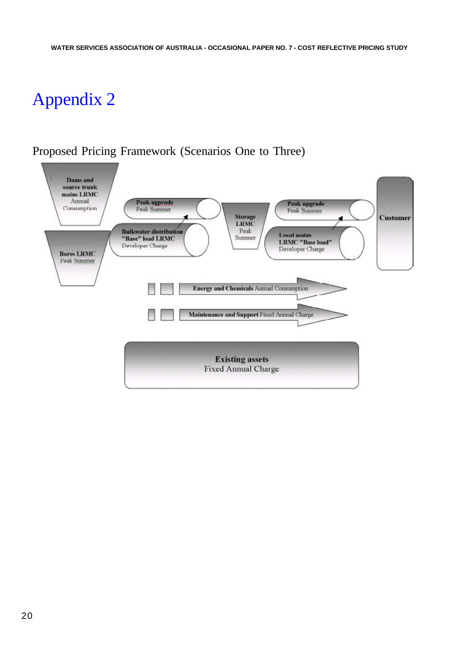## Proposed Pricing Framework (Scenarios One to Three)

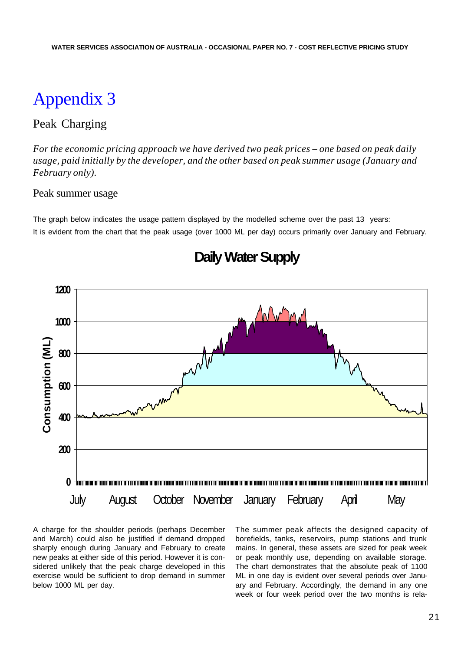## Peak Charging

*For the economic pricing approach we have derived two peak prices – one based on peak daily usage, paid initially by the developer, and the other based on peak summer usage (January and February only).*

## Peak summer usage

The graph below indicates the usage pattern displayed by the modelled scheme over the past 13 years: It is evident from the chart that the peak usage (over 1000 ML per day) occurs primarily over January and February.



**Daily Water Supply**

A charge for the shoulder periods (perhaps December and March) could also be justified if demand dropped sharply enough during January and February to create new peaks at either side of this period. However it is considered unlikely that the peak charge developed in this exercise would be sufficient to drop demand in summer below 1000 ML per day.

The summer peak affects the designed capacity of borefields, tanks, reservoirs, pump stations and trunk mains. In general, these assets are sized for peak week or peak monthly use, depending on available storage. The chart demonstrates that the absolute peak of 1100 ML in one day is evident over several periods over January and February. Accordingly, the demand in any one week or four week period over the two months is rela-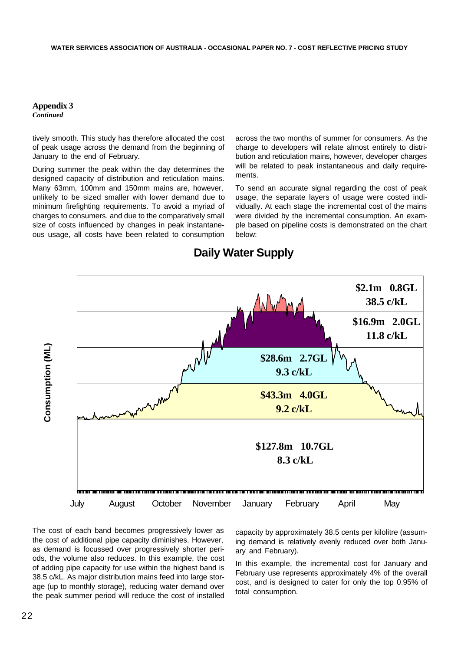*Continued*

tively smooth. This study has therefore allocated the cost of peak usage across the demand from the beginning of January to the end of February.

During summer the peak within the day determines the designed capacity of distribution and reticulation mains. Many 63mm, 100mm and 150mm mains are, however, unlikely to be sized smaller with lower demand due to minimum firefighting requirements. To avoid a myriad of charges to consumers, and due to the comparatively small size of costs influenced by changes in peak instantaneous usage, all costs have been related to consumption across the two months of summer for consumers. As the charge to developers will relate almost entirely to distribution and reticulation mains, however, developer charges will be related to peak instantaneous and daily requirements.

To send an accurate signal regarding the cost of peak usage, the separate layers of usage were costed individually. At each stage the incremental cost of the mains were divided by the incremental consumption. An example based on pipeline costs is demonstrated on the chart below:



## **Daily Water Supply**

The cost of each band becomes progressively lower as the cost of additional pipe capacity diminishes. However, as demand is focussed over progressively shorter periods, the volume also reduces. In this example, the cost of adding pipe capacity for use within the highest band is 38.5 c/kL. As major distribution mains feed into large storage (up to monthly storage), reducing water demand over the peak summer period will reduce the cost of installed

capacity by approximately 38.5 cents per kilolitre (assuming demand is relatively evenly reduced over both January and February).

In this example, the incremental cost for January and February use represents approximately 4% of the overall cost, and is designed to cater for only the top 0.95% of total consumption.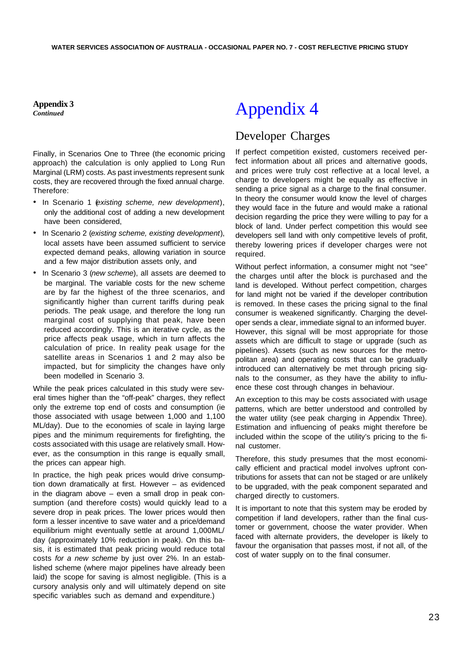**Appendix 3** *Continued*

Finally, in Scenarios One to Three (the economic pricing approach) the calculation is only applied to Long Run Marginal (LRM) costs. As past investments represent sunk costs, they are recovered through the fixed annual charge. Therefore:

- In Scenario 1 (*existing scheme, new development*), only the additional cost of adding a new development have been considered,
- In Scenario 2 (*existing scheme, existing development*), local assets have been assumed sufficient to service expected demand peaks, allowing variation in source and a few major distribution assets only, and
- In Scenario 3 (*new scheme*), all assets are deemed to be marginal. The variable costs for the new scheme are by far the highest of the three scenarios, and significantly higher than current tariffs during peak periods. The peak usage, and therefore the long run marginal cost of supplying that peak, have been reduced accordingly. This is an iterative cycle, as the price affects peak usage, which in turn affects the calculation of price. In reality peak usage for the satellite areas in Scenarios 1 and 2 may also be impacted, but for simplicity the changes have only been modelled in Scenario 3.

While the peak prices calculated in this study were several times higher than the "off-peak" charges, they reflect only the extreme top end of costs and consumption (ie those associated with usage between 1,000 and 1,100 ML/day). Due to the economies of scale in laying large pipes and the minimum requirements for firefighting, the costs associated with this usage are relatively small. However, as the consumption in this range is equally small, the prices can appear high.

In practice, the high peak prices would drive consumption down dramatically at first. However – as evidenced in the diagram above – even a small drop in peak consumption (and therefore costs) would quickly lead to a severe drop in peak prices. The lower prices would then form a lesser incentive to save water and a price/demand equilibrium might eventually settle at around 1,000ML/ day (approximately 10% reduction in peak). On this basis, it is estimated that peak pricing would reduce total costs *for a new scheme* by just over 2%. In an established scheme (where major pipelines have already been laid) the scope for saving is almost negligible. (This is a cursory analysis only and will ultimately depend on site specific variables such as demand and expenditure.)

# Appendix 4

## Developer Charges

If perfect competition existed, customers received perfect information about all prices and alternative goods, and prices were truly cost reflective at a local level, a charge to developers might be equally as effective in sending a price signal as a charge to the final consumer. In theory the consumer would know the level of charges they would face in the future and would make a rational decision regarding the price they were willing to pay for a block of land. Under perfect competition this would see developers sell land with only competitive levels of profit, thereby lowering prices if developer charges were not required.

Without perfect information, a consumer might not "see" the charges until after the block is purchased and the land is developed. Without perfect competition, charges for land might not be varied if the developer contribution is removed. In these cases the pricing signal to the final consumer is weakened significantly. Charging the developer sends a clear, immediate signal to an informed buyer. However, this signal will be most appropriate for those assets which are difficult to stage or upgrade (such as pipelines). Assets (such as new sources for the metropolitan area) and operating costs that can be gradually introduced can alternatively be met through pricing signals to the consumer, as they have the ability to influence these cost through changes in behaviour.

An exception to this may be costs associated with usage patterns, which are better understood and controlled by the water utility (see peak charging in Appendix Three). Estimation and influencing of peaks might therefore be included within the scope of the utility's pricing to the final customer.

Therefore, this study presumes that the most economically efficient and practical model involves upfront contributions for assets that can not be staged or are unlikely to be upgraded, with the peak component separated and charged directly to customers.

It is important to note that this system may be eroded by competition if land developers, rather than the final customer or government, choose the water provider. When faced with alternate providers, the developer is likely to favour the organisation that passes most, if not all, of the cost of water supply on to the final consumer.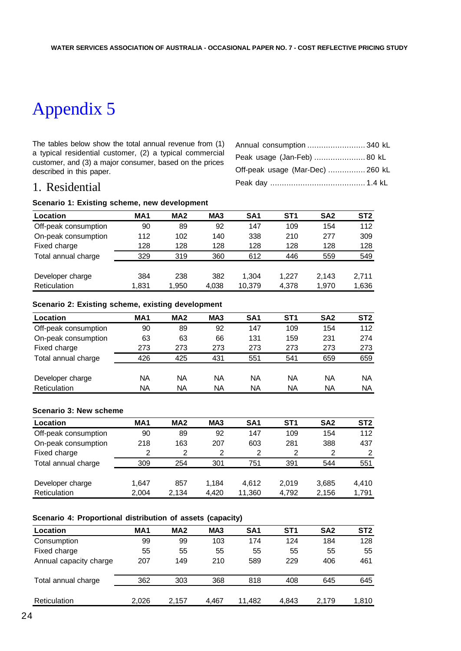The tables below show the total annual revenue from (1) a typical residential customer, (2) a typical commercial customer, and (3) a major consumer, based on the prices described in this paper.

| Annual consumption  340 kL       |  |
|----------------------------------|--|
| Peak usage (Jan-Feb)  80 kL      |  |
| Off-peak usage (Mar-Dec)  260 kL |  |
|                                  |  |

## 1. Residential

## **Scenario 1: Existing scheme, new development**

| Location             | MA <sub>1</sub> | MA <sub>2</sub> | MA <sub>3</sub> | SA <sub>1</sub> | ST <sub>1</sub> | SA <sub>2</sub> | ST <sub>2</sub> |
|----------------------|-----------------|-----------------|-----------------|-----------------|-----------------|-----------------|-----------------|
| Off-peak consumption | 90              | 89              | 92              | 147             | 109             | 154             | 112             |
| On-peak consumption  | 112             | 102             | 140             | 338             | 210             | 277             | 309             |
| Fixed charge         | 128             | 128             | 128             | 128             | 128             | 128             | 128             |
| Total annual charge  | 329             | 319             | 360             | 612             | 446             | 559             | 549             |
|                      |                 |                 |                 |                 |                 |                 |                 |
| Developer charge     | 384             | 238             | 382             | 1.304           | 1.227           | 2,143           | 2.711           |
| Reticulation         | 1.831           | 1,950           | 4,038           | 10,379          | 4,378           | 1,970           | 1,636           |

### **Scenario 2: Existing scheme, existing development**

| Location             | MA <sub>1</sub> | MA <sub>2</sub> | MA <sub>3</sub> | SA <sub>1</sub> | ST <sub>1</sub> | SA <sub>2</sub> | ST <sub>2</sub> |
|----------------------|-----------------|-----------------|-----------------|-----------------|-----------------|-----------------|-----------------|
| Off-peak consumption | 90              | 89              | 92              | 147             | 109             | 154             | 112             |
| On-peak consumption  | 63              | 63              | 66              | 131             | 159             | 231             | 274             |
| Fixed charge         | 273             | 273             | 273             | 273             | 273             | 273             | 273             |
| Total annual charge  | 426             | 425             | 431             | 551             | 541             | 659             | 659             |
| Developer charge     | NA              | NA              | NA              | NA              | NA              | NA              | NA              |
| Reticulation         | NA              | NA              | NA              | NA              | NA              | NA              | ΝA              |

### **Scenario 3: New scheme**

| Location             | MA <sub>1</sub> | MA <sub>2</sub> | MA <sub>3</sub> | SA <sub>1</sub> | ST <sub>1</sub> | SA <sub>2</sub> | ST <sub>2</sub> |
|----------------------|-----------------|-----------------|-----------------|-----------------|-----------------|-----------------|-----------------|
| Off-peak consumption | 90              | 89              | 92              | 147             | 109             | 154             | 112             |
| On-peak consumption  | 218             | 163             | 207             | 603             | 281             | 388             | 437             |
| Fixed charge         | 2               | 2               | 2               | 2               | 2               | 2               | 2               |
| Total annual charge  | 309             | 254             | 301             | 751             | 391             | 544             | 551             |
|                      |                 |                 |                 |                 |                 |                 |                 |
| Developer charge     | 1.647           | 857             | 1.184           | 4.612           | 2.019           | 3,685           | 4,410           |
| Reticulation         | 2.004           | 2,134           | 4.420           | 11,360          | 4,792           | 2,156           | 1,791           |

## **Scenario 4: Proportional distribution of assets (capacity)**

| Location               | MA <sub>1</sub> | MA <sub>2</sub> | MA <sub>3</sub> | SA <sub>1</sub> | ST <sub>1</sub> | SA <sub>2</sub> | ST <sub>2</sub> |
|------------------------|-----------------|-----------------|-----------------|-----------------|-----------------|-----------------|-----------------|
| Consumption            | 99              | 99              | 103             | 174             | 124             | 184             | 128             |
| Fixed charge           | 55              | 55              | 55              | 55              | 55              | 55              | 55              |
| Annual capacity charge | 207             | 149             | 210             | 589             | 229             | 406             | 461             |
| Total annual charge    | 362             | 303             | 368             | 818             | 408             | 645             | 645             |
| Reticulation           | 2.026           | 2.157           | 4.467           | 11.482          | 4.843           | 2.179           | 1,810           |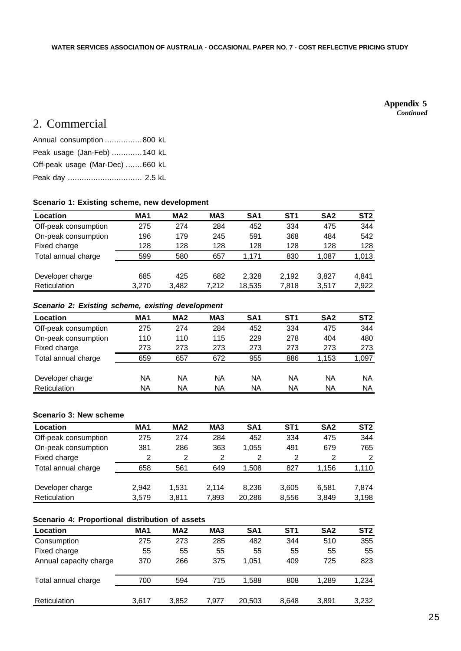#### **Appendix 5** *Continued*

## 2. Commercial

| Annual consumption 800 kL       |  |
|---------------------------------|--|
| Peak usage (Jan-Feb) 140 kL     |  |
| Off-peak usage (Mar-Dec) 660 kL |  |
| Peak day  2.5 kL                |  |

### **Scenario 1: Existing scheme, new development**

| Location             | MA <sub>1</sub> | MA <sub>2</sub> | MA <sub>3</sub> | SA <sub>1</sub> | ST <sub>1</sub> | SA <sub>2</sub> | ST <sub>2</sub> |
|----------------------|-----------------|-----------------|-----------------|-----------------|-----------------|-----------------|-----------------|
| Off-peak consumption | 275             | 274             | 284             | 452             | 334             | 475             | 344             |
| On-peak consumption  | 196             | 179             | 245             | 591             | 368             | 484             | 542             |
| Fixed charge         | 128             | 128             | 128             | 128             | 128             | 128             | 128             |
| Total annual charge  | 599             | 580             | 657             | 1.171           | 830             | 1,087           | 1,013           |
|                      |                 |                 |                 |                 |                 |                 |                 |
| Developer charge     | 685             | 425             | 682             | 2.328           | 2.192           | 3.827           | 4.841           |
| Reticulation         | 3,270           | 3,482           | 7.212           | 18,535          | 7.818           | 3,517           | 2,922           |

### *Scenario 2: Existing scheme, existing development*

| Location             | MA <sub>1</sub> | MA <sub>2</sub> | MA <sub>3</sub> | SA <sub>1</sub> | ST <sub>1</sub> | SA <sub>2</sub> | ST <sub>2</sub> |
|----------------------|-----------------|-----------------|-----------------|-----------------|-----------------|-----------------|-----------------|
| Off-peak consumption | 275             | 274             | 284             | 452             | 334             | 475             | 344             |
| On-peak consumption  | 110             | 110             | 115             | 229             | 278             | 404             | 480             |
| Fixed charge         | 273             | 273             | 273             | 273             | 273             | 273             | 273             |
| Total annual charge  | 659             | 657             | 672             | 955             | 886             | 1.153           | 1,097           |
|                      |                 |                 |                 |                 |                 |                 |                 |
| Developer charge     | NA              | ΝA              | NA              | NA              | NA              | NA              | NA              |
| Reticulation         | NA              | NA              | ΝA              | NA              | NA              | NA              | NA              |

## **Scenario 3: New scheme**

| Location             | MA <sub>1</sub> | MA <sub>2</sub> | MA <sub>3</sub> | SA <sub>1</sub> | ST <sub>1</sub> | SA <sub>2</sub> | ST <sub>2</sub> |
|----------------------|-----------------|-----------------|-----------------|-----------------|-----------------|-----------------|-----------------|
| Off-peak consumption | 275             | 274             | 284             | 452             | 334             | 475             | 344             |
| On-peak consumption  | 381             | 286             | 363             | 1.055           | 491             | 679             | 765             |
| Fixed charge         | 2               | 2               | 2               | 2               | 2               | 2               | 2               |
| Total annual charge  | 658             | 561             | 649             | 1,508           | 827             | 1.156           | 1,110           |
|                      |                 |                 |                 |                 |                 |                 |                 |
| Developer charge     | 2.942           | 1.531           | 2.114           | 8.236           | 3,605           | 6.581           | 7.874           |
| Reticulation         | 3.579           | 3.811           | 7,893           | 20.286          | 8,556           | 3.849           | 3,198           |

### **Scenario 4: Proportional distribution of assets**

| Location               | MA <sub>1</sub> | MA <sub>2</sub> | MA <sub>3</sub> | SA <sub>1</sub> | ST <sub>1</sub> | SA <sub>2</sub> | ST <sub>2</sub> |
|------------------------|-----------------|-----------------|-----------------|-----------------|-----------------|-----------------|-----------------|
| Consumption            | 275             | 273             | 285             | 482             | 344             | 510             | 355             |
| Fixed charge           | 55              | 55              | 55              | 55              | 55              | 55              | 55              |
| Annual capacity charge | 370             | 266             | 375             | 1.051           | 409             | 725             | 823             |
| Total annual charge    | 700             | 594             | 715             | 1,588           | 808             | 1.289           | 1,234           |
| Reticulation           | 3.617           | 3,852           | 7.977           | 20,503          | 8.648           | 3,891           | 3,232           |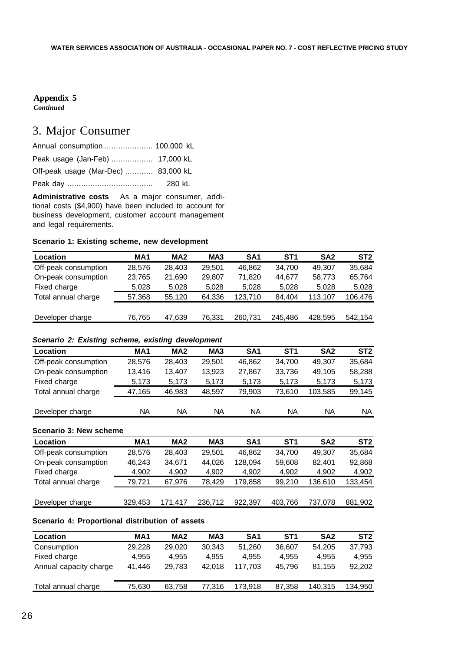*Continued*

## 3. Major Consumer

| Annual consumption  100,000 kL      |        |
|-------------------------------------|--------|
| Peak usage (Jan-Feb)  17,000 kL     |        |
| Off-peak usage (Mar-Dec)  83,000 kL |        |
|                                     | 280 kL |

**Administrative costs** As a major consumer, additional costs (\$4,900) have been included to account for business development, customer account management and legal requirements.

## **Scenario 1: Existing scheme, new development**

| Location             | MA <sub>1</sub> | MA <sub>2</sub> | MA <sub>3</sub> | SA <sub>1</sub> | ST1     | SA <sub>2</sub> | ST <sub>2</sub> |
|----------------------|-----------------|-----------------|-----------------|-----------------|---------|-----------------|-----------------|
| Off-peak consumption | 28.576          | 28.403          | 29.501          | 46,862          | 34.700  | 49.307          | 35,684          |
| On-peak consumption  | 23.765          | 21,690          | 29.807          | 71,820          | 44.677  | 58.773          | 65,764          |
| Fixed charge         | 5,028           | 5,028           | 5,028           | 5,028           | 5,028   | 5,028           | 5,028           |
| Total annual charge  | 57,368          | 55.120          | 64,336          | 123,710         | 84.404  | 113.107         | 106,476         |
|                      |                 |                 |                 |                 |         |                 |                 |
| Developer charge     | 76.765          | 47,639          | 76,331          | 260,731         | 245.486 | 428,595         | 542.154         |

### *Scenario 2: Existing scheme, existing development*

| <b>Location</b>      | MA <sub>1</sub> | MA <sub>2</sub> | MA <sub>3</sub> | SA <sub>1</sub> | ST <sub>1</sub> | SA <sub>2</sub> | ST <sub>2</sub> |
|----------------------|-----------------|-----------------|-----------------|-----------------|-----------------|-----------------|-----------------|
| Off-peak consumption | 28.576          | 28.403          | 29.501          | 46.862          | 34.700          | 49.307          | 35,684          |
| On-peak consumption  | 13.416          | 13.407          | 13.923          | 27.867          | 33,736          | 49.105          | 58,288          |
| Fixed charge         | 5,173           | 5.173           | 5,173           | 5,173           | 5,173           | 5,173           | 5,173           |
| Total annual charge  | 47,165          | 46,983          | 48,597          | 79,903          | 73,610          | 103,585         | 99,145          |
|                      |                 |                 |                 |                 |                 |                 |                 |
| Developer charge     | NA              | NA              | NA              | NA              | NA              | NA              | NA              |

### **Scenario 3: New scheme**

| Location             | MA <sub>1</sub> | MA <sub>2</sub> | MA <sub>3</sub> | SA <sub>1</sub> | ST <sub>1</sub> | SA <sub>2</sub> | ST <sub>2</sub> |
|----------------------|-----------------|-----------------|-----------------|-----------------|-----------------|-----------------|-----------------|
| Off-peak consumption | 28.576          | 28.403          | 29.501          | 46.862          | 34.700          | 49.307          | 35.684          |
| On-peak consumption  | 46.243          | 34.671          | 44.026          | 128.094         | 59.608          | 82.401          | 92,868          |
| Fixed charge         | 4,902           | 4,902           | 4.902           | 4,902           | 4,902           | 4.902           | 4,902           |
| Total annual charge  | 79.721          | 67.976          | 78.429          | 179.858         | 99.210          | 136.610         | 133,454         |
|                      |                 |                 |                 |                 |                 |                 |                 |
| Developer charge     | 329.453         | 171.417         | 236.712         | 922.397         | 403,766         | 737.078         | 881.902         |

## **Scenario 4: Proportional distribution of assets**

| Location               | MA1    | MA <sub>2</sub> | MA <sub>3</sub> | SA1     | ST <sub>1</sub> | SA <sub>2</sub> | ST <sub>2</sub> |
|------------------------|--------|-----------------|-----------------|---------|-----------------|-----------------|-----------------|
| Consumption            | 29.228 | 29,020          | 30,343          | 51.260  | 36,607          | 54,205          | 37,793          |
| Fixed charge           | 4.955  | 4.955           | 4.955           | 4.955   | 4.955           | 4.955           | 4.955           |
| Annual capacity charge | 41.446 | 29.783          | 42.018          | 117.703 | 45.796          | 81.155          | 92,202          |
| Total annual charge    | 75,630 | 63,758          | 77,316          | 173,918 | 87,358          | 140,315         | 134,950         |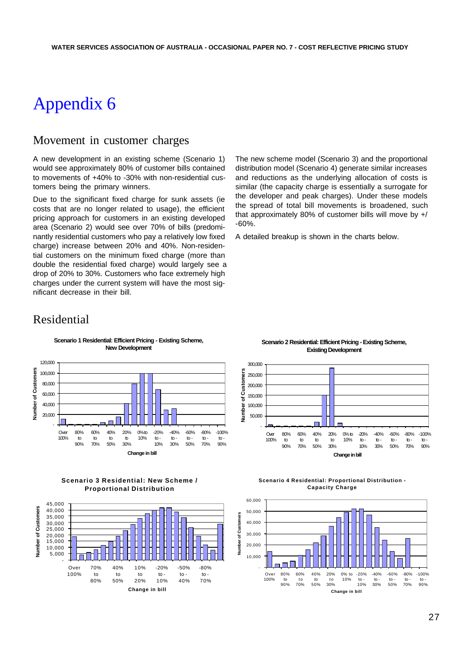## Movement in customer charges

A new development in an existing scheme (Scenario 1) would see approximately 80% of customer bills contained to movements of +40% to -30% with non-residential customers being the primary winners.

Due to the significant fixed charge for sunk assets (ie costs that are no longer related to usage), the efficient pricing approach for customers in an existing developed area (Scenario 2) would see over 70% of bills (predominantly residential customers who pay a relatively low fixed charge) increase between 20% and 40%. Non-residential customers on the minimum fixed charge (more than double the residential fixed charge) would largely see a drop of 20% to 30%. Customers who face extremely high charges under the current system will have the most significant decrease in their bill.

The new scheme model (Scenario 3) and the proportional distribution model (Scenario 4) generate similar increases and reductions as the underlying allocation of costs is similar (the capacity charge is essentially a surrogate for the developer and peak charges). Under these models the spread of total bill movements is broadened, such that approximately 80% of customer bills will move by +/ -60%.

A detailed breakup is shown in the charts below.

## Residential



**Scenario 1 Residential: Efficient Pricing - Existing Scheme, New Development**

**Scenario 3 Residential: New Scheme / Proportional Distribution**



**Scenario 2 Residential: Efficient Pricing - Existing Scheme, Existing Development**



**Scenario 4 Residential: Proportional Distribution - Capacity Charge**